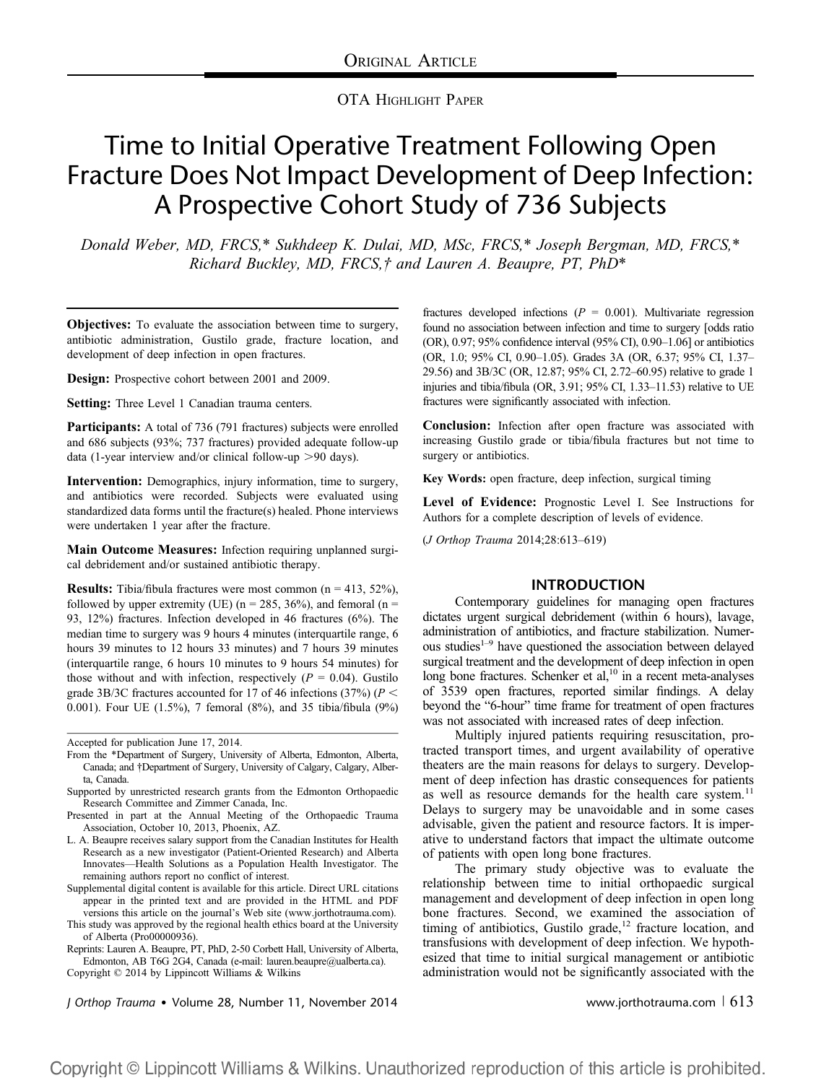## OTA HIGHLIGHT PAPER

# Time to Initial Operative Treatment Following Open Fracture Does Not Impact Development of Deep Infection: A Prospective Cohort Study of 736 Subjects

Donald Weber, MD, FRCS,\* Sukhdeep K. Dulai, MD, MSc, FRCS,\* Joseph Bergman, MD, FRCS,\* Richard Buckley, MD, FRCS,† and Lauren A. Beaupre, PT, PhD\*

Objectives: To evaluate the association between time to surgery, antibiotic administration, Gustilo grade, fracture location, and development of deep infection in open fractures.

Design: Prospective cohort between 2001 and 2009.

Setting: Three Level 1 Canadian trauma centers.

Participants: A total of 736 (791 fractures) subjects were enrolled and 686 subjects (93%; 737 fractures) provided adequate follow-up data (1-year interview and/or clinical follow-up  $>90$  days).

Intervention: Demographics, injury information, time to surgery, and antibiotics were recorded. Subjects were evaluated using standardized data forms until the fracture(s) healed. Phone interviews were undertaken 1 year after the fracture.

Main Outcome Measures: Infection requiring unplanned surgical debridement and/or sustained antibiotic therapy.

**Results:** Tibia/fibula fractures were most common  $(n = 413, 52\%)$ , followed by upper extremity (UE) ( $n = 285, 36\%$ ), and femoral ( $n =$ 93, 12%) fractures. Infection developed in 46 fractures (6%). The median time to surgery was 9 hours 4 minutes (interquartile range, 6 hours 39 minutes to 12 hours 33 minutes) and 7 hours 39 minutes (interquartile range, 6 hours 10 minutes to 9 hours 54 minutes) for those without and with infection, respectively  $(P = 0.04)$ . Gustilo grade 3B/3C fractures accounted for 17 of 46 infections (37%) ( $P <$ 0.001). Four UE (1.5%), 7 femoral (8%), and 35 tibia/fibula (9%)

- L. A. Beaupre receives salary support from the Canadian Institutes for Health Research as a new investigator (Patient-Oriented Research) and Alberta Innovates—Health Solutions as a Population Health Investigator. The remaining authors report no conflict of interest.
- Supplemental digital content is available for this article. Direct URL citations appear in the printed text and are provided in the HTML and PDF versions this article on the journal's Web site (www.jorthotrauma.com).

This study was approved by the regional health [ethics board at the Unive](http://www.jorthotrauma.com)rsity of Alberta (Pro00000936).

Reprints: Lauren A. Beaupre, PT, PhD, 2-50 Corbett Hall, University of Alberta, Edmonton, AB T6G 2G4, Canada (e-mail: lauren.beaupre@ualberta.ca).

Copyright © 2014 by Lippincott Williams [& Wilkins](mailto:lauren.beaupre@ualberta.ca)

fractures developed infections ( $P = 0.001$ ). Multivariate regression found no association between infection and time to surgery [odds ratio (OR), 0.97; 95% confidence interval (95% CI), 0.90–1.06] or antibiotics (OR, 1.0; 95% CI, 0.90–1.05). Grades 3A (OR, 6.37; 95% CI, 1.37– 29.56) and 3B/3C (OR, 12.87; 95% CI, 2.72–60.95) relative to grade 1 injuries and tibia/fibula (OR, 3.91; 95% CI, 1.33–11.53) relative to UE fractures were significantly associated with infection.

Conclusion: Infection after open fracture was associated with increasing Gustilo grade or tibia/fibula fractures but not time to surgery or antibiotics.

Key Words: open fracture, deep infection, surgical timing

Level of Evidence: Prognostic Level I. See Instructions for Authors for a complete description of levels of evidence.

(J Orthop Trauma 2014;28:613–619)

#### INTRODUCTION

Contemporary guidelines for managing open fractures dictates urgent surgical debridement (within 6 hours), lavage, administration of antibiotics, and fracture stabilization. Numerous studies $1-9$  have questioned the association between delayed surgical treatment and the development of deep infection in open long bone fractures. Schenker et al,<sup>10</sup> in a recent meta-analyses of 3539 open fractures, reported similar findings. A delay beyond the "6-hour" time frame for treatment of open fractures was not associated with increased rates of deep infection.

Multiply injured patients requiring resuscitation, protracted transport times, and urgent availability of operative theaters are the main reasons for delays to surgery. Development of deep infection has drastic consequences for patients as well as resource demands for the health care system.<sup>11</sup> Delays to surgery may be unavoidable and in some cases advisable, given the patient and resource factors. It is imperative to understand factors that impact the ultimate outcome of patients with open long bone fractures.

The primary study objective was to evaluate the relationship between time to initial orthopaedic surgical management and development of deep infection in open long bone fractures. Second, we examined the association of timing of antibiotics, Gustilo grade, $12$  fracture location, and transfusions with development of deep infection. We hypothesized that time to initial surgical management or antibiotic administration would not be significantly associated with the

J Orthop Trauma • Volume 28, Number 11, November 2014 www.jorthotrauma.com  $\sqrt{613}$ 

Accepted for publication June 17, 2014.

From the \*Department of Surgery, University of Alberta, Edmonton, Alberta, Canada; and †Department of Surgery, University of Calgary, Calgary, Alberta, Canada.

Supported by unrestricted research grants from the Edmonton Orthopaedic Research Committee and Zimmer Canada, Inc.

Presented in part at the Annual Meeting of the Orthopaedic Trauma Association, October 10, 2013, Phoenix, AZ.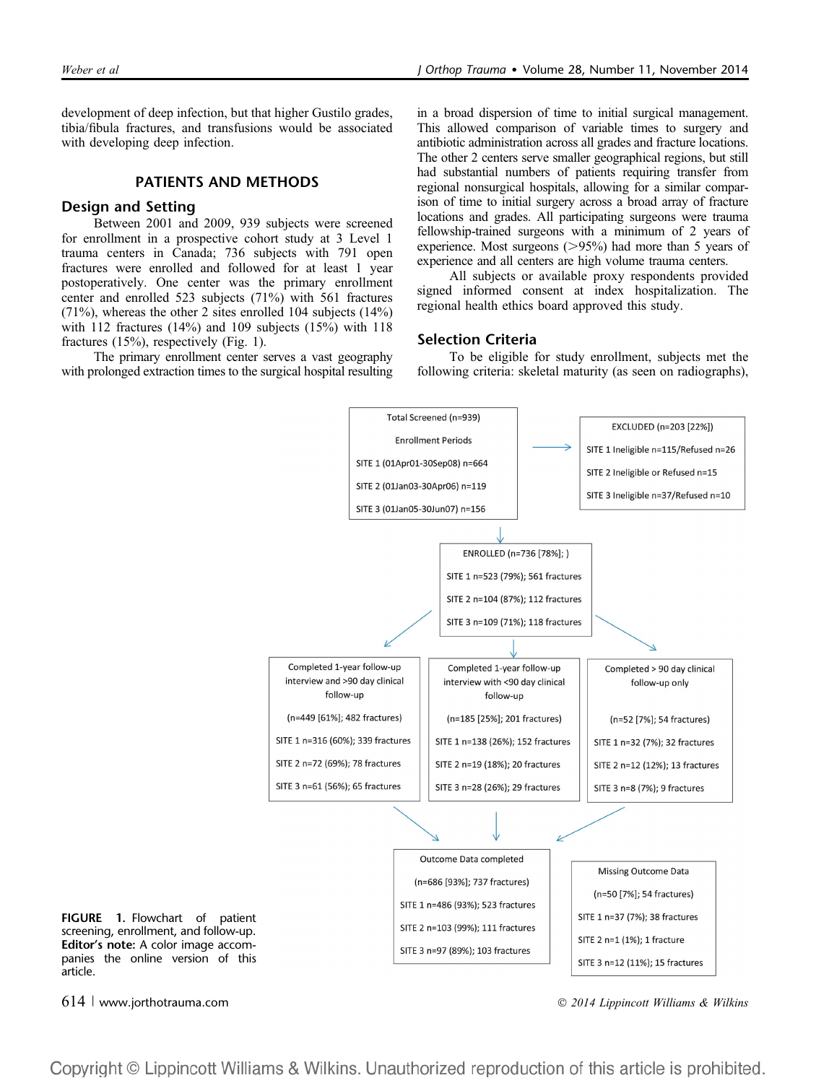development of deep infection, but that higher Gustilo grades, tibia/fibula fractures, and transfusions would be associated with developing deep infection.

### PATIENTS AND METHODS

#### Design and Setting

Between 2001 and 2009, 939 subjects were screened for enrollment in a prospective cohort study at 3 Level 1 trauma centers in Canada; 736 subjects with 791 open fractures were enrolled and followed for at least 1 year postoperatively. One center was the primary enrollment center and enrolled 523 subjects (71%) with 561 fractures (71%), whereas the other 2 sites enrolled 104 subjects (14%) with 112 fractures (14%) and 109 subjects (15%) with 118 fractures (15%), respectively (Fig. 1).

The primary enrollment center serves a vast geography with prolonged extraction times to the surgical hospital resulting in a broad dispersion of time to initial surgical management. This allowed comparison of variable times to surgery and antibiotic administration across all grades and fracture locations. The other 2 centers serve smaller geographical regions, but still had substantial numbers of patients requiring transfer from regional nonsurgical hospitals, allowing for a similar comparison of time to initial surgery across a broad array of fracture locations and grades. All participating surgeons were trauma fellowship-trained surgeons with a minimum of 2 years of experience. Most surgeons  $(>\!\!95\%)$  had more than 5 years of experience and all centers are high volume trauma centers.

All subjects or available proxy respondents provided signed informed consent at index hospitalization. The regional health ethics board approved this study.

#### Selection Criteria

To be eligible for study enrollment, subjects met the following criteria: skeletal maturity (as seen on radiographs),



FIGURE 1. Flowchart of patient screening, enrollment, and follow-up. Editor's note: A color image accompanies the online version of this article.

614 | www.jorthotrauma.com 2014 Lippincott Williams & Wilkins

Copyright © Lippincott Williams & Wilkins. Unauthorized reproduction of this article is prohibited.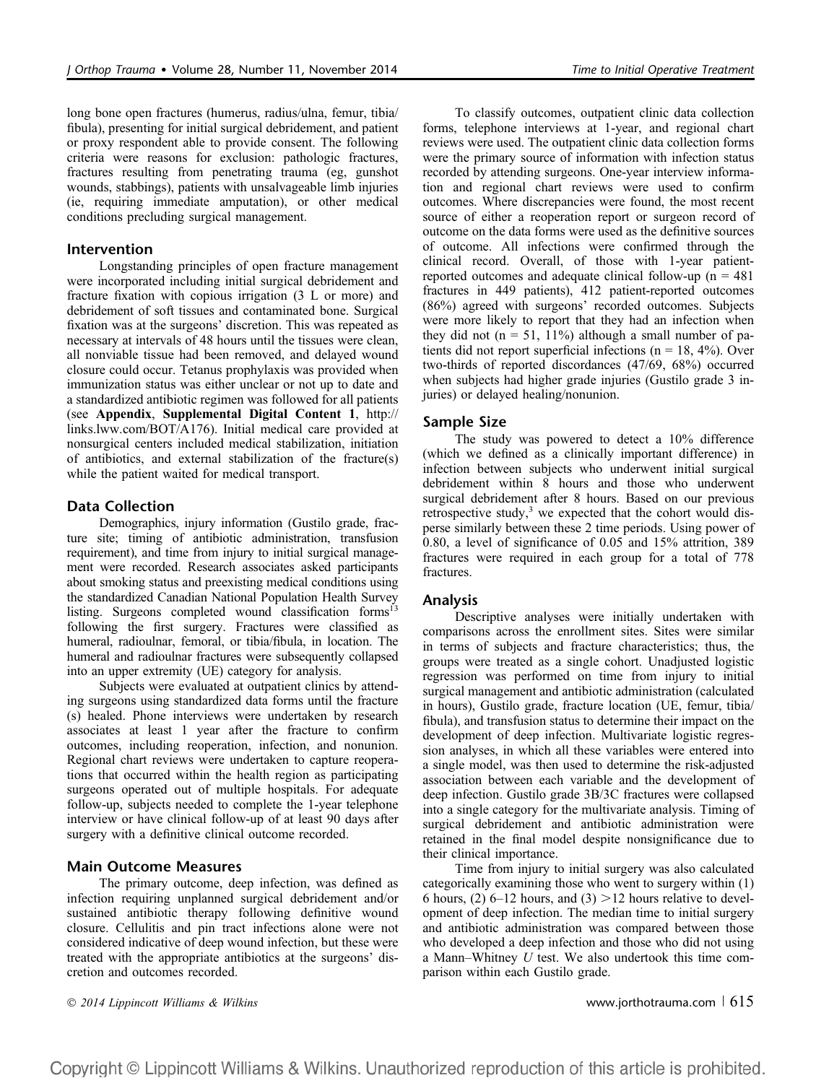long bone open fractures (humerus, radius/ulna, femur, tibia/ fibula), presenting for initial surgical debridement, and patient or proxy respondent able to provide consent. The following criteria were reasons for exclusion: pathologic fractures, fractures resulting from penetrating trauma (eg, gunshot wounds, stabbings), patients with unsalvageable limb injuries (ie, requiring immediate amputation), or other medical conditions precluding surgical management.

#### Intervention

Longstanding principles of open fracture management were incorporated including initial surgical debridement and fracture fixation with copious irrigation (3 L or more) and debridement of soft tissues and contaminated bone. Surgical fixation was at the surgeons' discretion. This was repeated as necessary at intervals of 48 hours until the tissues were clean, all nonviable tissue had been removed, and delayed wound closure could occur. Tetanus prophylaxis was provided when immunization status was either unclear or not up to date and a standardized antibiotic regimen was followed for all patients (see Appendix, Supplemental Digital Content 1, http:// links.lww.com/BOT/A176). Initial medical care pro[vided](http://links.lww.com/BOT/A176) at [nonsurgical centers incl](http://links.lww.com/BOT/A176)uded medical stabilization, initiation of antibiotics, and external stabilization of the fracture(s) while the patient waited for medical transport.

#### Data Collection

Demographics, injury information (Gustilo grade, fracture site; timing of antibiotic administration, transfusion requirement), and time from injury to initial surgical management were recorded. Research associates asked participants about smoking status and preexisting medical conditions using the standardized Canadian National Population Health Survey listing. Surgeons completed wound classification forms<sup>13</sup> following the first surgery. Fractures were classified as humeral, radioulnar, femoral, or tibia/fibula, in location. The humeral and radioulnar fractures were subsequently collapsed into an upper extremity (UE) category for analysis.

Subjects were evaluated at outpatient clinics by attending surgeons using standardized data forms until the fracture (s) healed. Phone interviews were undertaken by research associates at least 1 year after the fracture to confirm outcomes, including reoperation, infection, and nonunion. Regional chart reviews were undertaken to capture reoperations that occurred within the health region as participating surgeons operated out of multiple hospitals. For adequate follow-up, subjects needed to complete the 1-year telephone interview or have clinical follow-up of at least 90 days after surgery with a definitive clinical outcome recorded.

### Main Outcome Measures

The primary outcome, deep infection, was defined as infection requiring unplanned surgical debridement and/or sustained antibiotic therapy following definitive wound closure. Cellulitis and pin tract infections alone were not considered indicative of deep wound infection, but these were treated with the appropriate antibiotics at the surgeons' discretion and outcomes recorded.

To classify outcomes, outpatient clinic data collection forms, telephone interviews at 1-year, and regional chart reviews were used. The outpatient clinic data collection forms were the primary source of information with infection status recorded by attending surgeons. One-year interview information and regional chart reviews were used to confirm outcomes. Where discrepancies were found, the most recent source of either a reoperation report or surgeon record of outcome on the data forms were used as the definitive sources of outcome. All infections were confirmed through the clinical record. Overall, of those with 1-year patientreported outcomes and adequate clinical follow-up ( $n = 481$ ) fractures in 449 patients), 412 patient-reported outcomes (86%) agreed with surgeons' recorded outcomes. Subjects were more likely to report that they had an infection when they did not ( $n = 51$ , 11%) although a small number of patients did not report superficial infections ( $n = 18, 4\%$ ). Over two-thirds of reported discordances (47/69, 68%) occurred when subjects had higher grade injuries (Gustilo grade 3 injuries) or delayed healing/nonunion.

#### Sample Size

The study was powered to detect a 10% difference (which we defined as a clinically important difference) in infection between subjects who underwent initial surgical debridement within 8 hours and those who underwent surgical debridement after 8 hours. Based on our previous retrospective study, $3$  we expected that the cohort would disperse similarly between these 2 time periods. Using power of 0.80, a level of significance of 0.05 and 15% attrition, 389 fractures were required in each group for a total of 778 fractures.

#### Analysis

Descriptive analyses were initially undertaken with comparisons across the enrollment sites. Sites were similar in terms of subjects and fracture characteristics; thus, the groups were treated as a single cohort. Unadjusted logistic regression was performed on time from injury to initial surgical management and antibiotic administration (calculated in hours), Gustilo grade, fracture location (UE, femur, tibia/ fibula), and transfusion status to determine their impact on the development of deep infection. Multivariate logistic regression analyses, in which all these variables were entered into a single model, was then used to determine the risk-adjusted association between each variable and the development of deep infection. Gustilo grade 3B/3C fractures were collapsed into a single category for the multivariate analysis. Timing of surgical debridement and antibiotic administration were retained in the final model despite nonsignificance due to their clinical importance.

Time from injury to initial surgery was also calculated categorically examining those who went to surgery within (1) 6 hours, (2) 6–12 hours, and (3)  $>12$  hours relative to development of deep infection. The median time to initial surgery and antibiotic administration was compared between those who developed a deep infection and those who did not using a Mann–Whitney U test. We also undertook this time comparison within each Gustilo grade.

© 2014 Lippincott Williams & Wilkins www.jorthotrauma.com | 615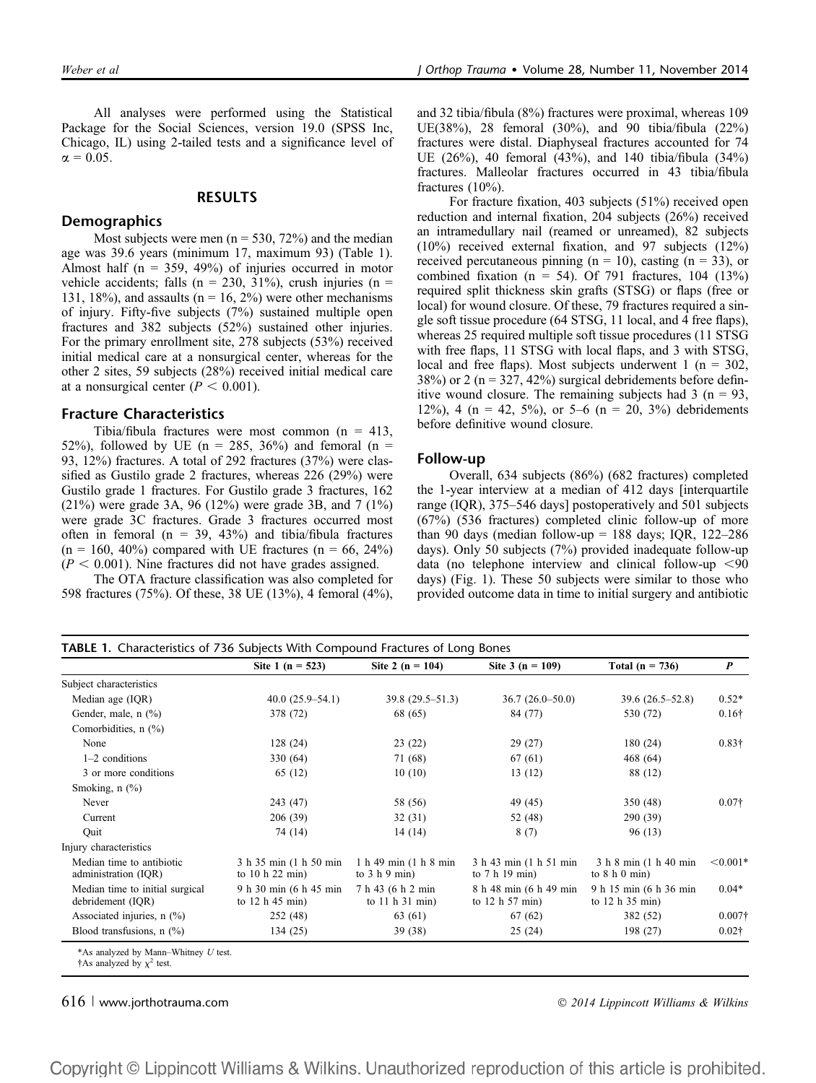All analyses were performed using the Statistical Package for the Social Sciences, version 19.0 (SPSS Inc, Chicago, IL) using 2-tailed tests and a significance level of  $\alpha = 0.05$ .

#### RESULTS

#### **Demographics**

Most subjects were men ( $n = 530, 72\%$ ) and the median age was 39.6 years (minimum 17, maximum 93) (Table 1). Almost half ( $n = 359, 49\%$ ) of injuries occurred in motor vehicle accidents; falls ( $n = 230, 31\%$ ), crush injuries ( $n =$ 131, 18%), and assaults ( $n = 16$ , 2%) were other mechanisms of injury. Fifty-five subjects (7%) sustained multiple open fractures and 382 subjects (52%) sustained other injuries. For the primary enrollment site, 278 subjects (53%) received initial medical care at a nonsurgical center, whereas for the other 2 sites, 59 subjects (28%) received initial medical care at a nonsurgical center ( $P < 0.001$ ).

#### Fracture Characteristics

Tibia/fibula fractures were most common (n = 413, 52%), followed by UE ( $n = 285, 36\%$ ) and femoral ( $n =$ 93, 12%) fractures. A total of 292 fractures (37%) were classified as Gustilo grade 2 fractures, whereas 226 (29%) were Gustilo grade 1 fractures. For Gustilo grade 3 fractures, 162 (21%) were grade 3A, 96 (12%) were grade 3B, and 7 (1%) were grade 3C fractures. Grade 3 fractures occurred most often in femoral ( $n = 39, 43\%$ ) and tibia/fibula fractures  $(n = 160, 40\%)$  compared with UE fractures  $(n = 66, 24\%)$  $(P < 0.001)$ . Nine fractures did not have grades assigned.

The OTA fracture classification was also completed for 598 fractures (75%). Of these, 38 UE (13%), 4 femoral (4%), and 32 tibia/fibula (8%) fractures were proximal, whereas 109 UE(38%), 28 femoral (30%), and 90 tibia/fibula (22%) fractures were distal. Diaphyseal fractures accounted for 74 UE (26%), 40 femoral (43%), and 140 tibia/fibula (34%) fractures. Malleolar fractures occurred in 43 tibia/fibula fractures (10%).

For fracture fixation, 403 subjects (51%) received open reduction and internal fixation, 204 subjects (26%) received an intramedullary nail (reamed or unreamed), 82 subjects (10%) received external fixation, and 97 subjects (12%) received percutaneous pinning ( $n = 10$ ), casting ( $n = 33$ ), or combined fixation ( $n = 54$ ). Of 791 fractures, 104 (13%) required split thickness skin grafts (STSG) or flaps (free or local) for wound closure. Of these, 79 fractures required a single soft tissue procedure (64 STSG, 11 local, and 4 free flaps), whereas 25 required multiple soft tissue procedures (11 STSG with free flaps, 11 STSG with local flaps, and 3 with STSG, local and free flaps). Most subjects underwent 1 ( $n = 302$ , 38%) or 2 ( $n = 327, 42\%$ ) surgical debridements before definitive wound closure. The remaining subjects had  $3$  (n = 93, 12%), 4 (n = 42, 5%), or 5–6 (n = 20, 3%) debridements before definitive wound closure.

#### Follow-up

Overall, 634 subjects (86%) (682 fractures) completed the 1-year interview at a median of 412 days [interquartile range (IQR), 375–546 days] postoperatively and 501 subjects (67%) (536 fractures) completed clinic follow-up of more than 90 days (median follow-up = 188 days; IQR, 122–286 days). Only 50 subjects (7%) provided inadequate follow-up data (no telephone interview and clinical follow-up  $\leq 90$ days) (Fig. 1). These 50 subjects were similar to those who provided outcome data in time to initial surgery and antibiotic

|                                                      | Site 1 ( $n = 523$ )                          | Site 2 ( $n = 104$ )                     | Site $3(n = 109)$                           | Total ( $n = 736$ )                       | $\boldsymbol{P}$ |
|------------------------------------------------------|-----------------------------------------------|------------------------------------------|---------------------------------------------|-------------------------------------------|------------------|
| Subject characteristics                              |                                               |                                          |                                             |                                           |                  |
| Median age (IQR)                                     | $40.0(25.9-54.1)$                             | $39.8(29.5-51.3)$                        | $36.7(26.0-50.0)$                           | $39.6(26.5 - 52.8)$                       | $0.52*$          |
| Gender, male, n (%)                                  | 378 (72)                                      | 68 (65)                                  | 84 (77)                                     | 530 (72)                                  | $0.16\dagger$    |
| Comorbidities, $n$ (%)                               |                                               |                                          |                                             |                                           |                  |
| None                                                 | 128(24)                                       | 23(22)                                   | 29(27)                                      | 180(24)                                   | $0.83\dagger$    |
| $1-2$ conditions                                     | 330 (64)                                      | 71 (68)                                  | 67(61)                                      | 468 (64)                                  |                  |
| 3 or more conditions                                 | 65 (12)                                       | 10(10)                                   | 13(12)                                      | 88 (12)                                   |                  |
| Smoking, $n$ $(\%)$                                  |                                               |                                          |                                             |                                           |                  |
| Never                                                | 243 (47)                                      | 58 (56)                                  | 49 (45)                                     | 350 (48)                                  | $0.07\dagger$    |
| Current                                              | 206 (39)                                      | 32(31)                                   | 52 (48)                                     | 290 (39)                                  |                  |
| Ouit                                                 | 74 (14)                                       | 14 (14)                                  | 8(7)                                        | 96 (13)                                   |                  |
| Injury characteristics                               |                                               |                                          |                                             |                                           |                  |
| Median time to antibiotic<br>administration (IQR)    | 3 h 35 min (1 h 50 min)<br>to $10 h 22 min$   | 1 h 49 min (1 h 8 min<br>to $3 h 9 min$  | 3 h 43 min (1 h 51 min)<br>to $7 h 19 min$  | 3 h 8 min (1 h 40 min<br>to $8 h 0 min$ ) | $< 0.001*$       |
| Median time to initial surgical<br>debridement (IQR) | 9 h 30 min (6 h 45 min<br>to $12$ h $45$ min) | 7 h 43 (6 h 2 min<br>to $11$ h $31$ min) | 8 h 48 min (6 h 49 min)<br>to $12 h 57 min$ | 9 h 15 min (6 h 36 min<br>to 12 h 35 min) | $0.04*$          |
| Associated injuries, $n$ (%)                         | 252 (48)                                      | 63 (61)                                  | 67 (62)                                     | 382 (52)                                  | $0.007\dagger$   |
| Blood transfusions, $n$ (%)                          | 134 (25)                                      | 39 (38)                                  | 25(24)                                      | 198 (27)                                  | $0.02\dagger$    |

616 | www.jorthotrauma.com  $\degree$  2014 Lippincott Williams & Wilkins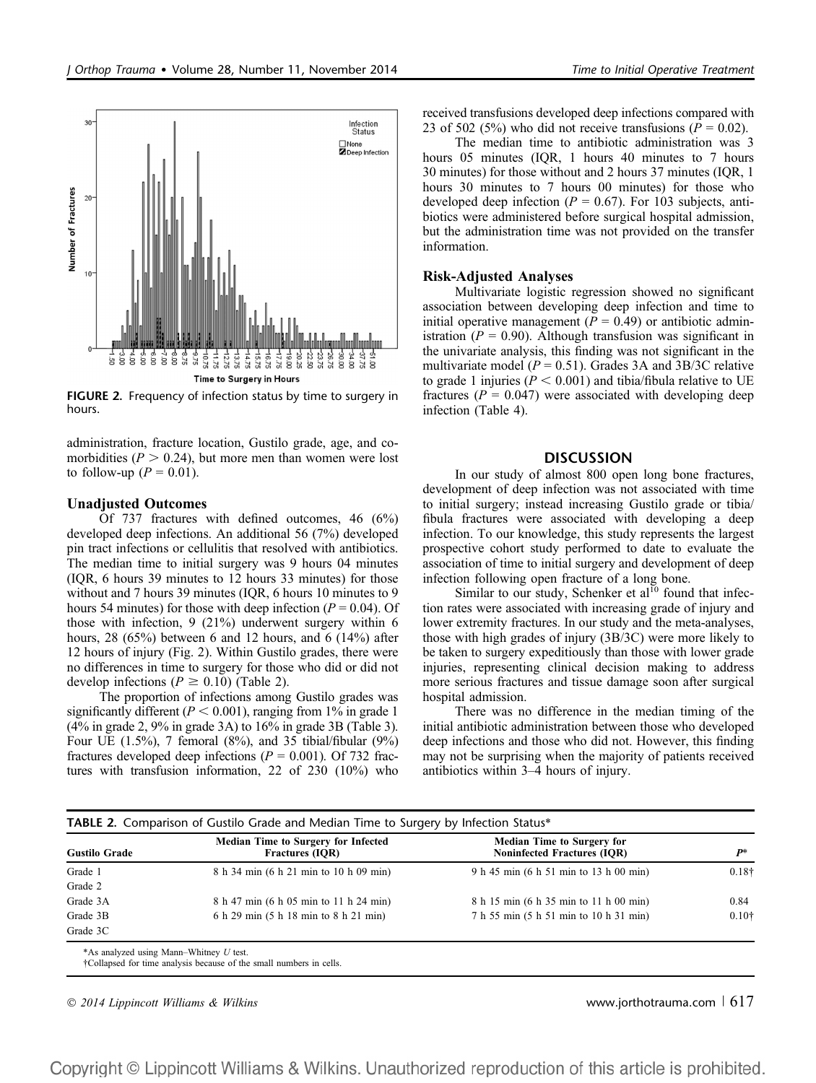

FIGURE 2. Frequency of infection status by time to surgery in hours.

administration, fracture location, Gustilo grade, age, and comorbidities ( $P > 0.24$ ), but more men than women were lost to follow-up ( $P = 0.01$ ).

#### Unadjusted Outcomes

Of 737 fractures with defined outcomes, 46 (6%) developed deep infections. An additional 56 (7%) developed pin tract infections or cellulitis that resolved with antibiotics. The median time to initial surgery was 9 hours 04 minutes (IQR, 6 hours 39 minutes to 12 hours 33 minutes) for those without and 7 hours 39 minutes (IQR, 6 hours 10 minutes to 9 hours 54 minutes) for those with deep infection ( $P = 0.04$ ). Of those with infection, 9 (21%) underwent surgery within 6 hours, 28 (65%) between 6 and 12 hours, and 6 (14%) after 12 hours of injury (Fig. 2). Within Gustilo grades, there were no differences in time to surgery for those who did or did not develop infections ( $P \ge 0.10$ ) (Table 2).

The proportion of infections among Gustilo grades was significantly different ( $P < 0.001$ ), ranging from 1% in grade 1 (4% in grade 2, 9% in grade 3A) to 16% in grade 3B (Table 3). Four UE (1.5%), 7 femoral (8%), and 35 tibial/fibular (9%) fractures developed deep infections ( $P = 0.001$ ). Of 732 fractures with transfusion information, 22 of 230 (10%) who received transfusions developed deep infections compared with 23 of 502 (5%) who did not receive transfusions ( $P = 0.02$ ).

The median time to antibiotic administration was 3 hours 05 minutes (IQR, 1 hours 40 minutes to 7 hours 30 minutes) for those without and 2 hours 37 minutes (IQR, 1 hours 30 minutes to 7 hours 00 minutes) for those who developed deep infection ( $P = 0.67$ ). For 103 subjects, antibiotics were administered before surgical hospital admission, but the administration time was not provided on the transfer information.

#### Risk-Adjusted Analyses

Multivariate logistic regression showed no significant association between developing deep infection and time to initial operative management ( $P = 0.49$ ) or antibiotic administration ( $P = 0.90$ ). Although transfusion was significant in the univariate analysis, this finding was not significant in the multivariate model ( $P = 0.51$ ). Grades 3A and 3B/3C relative to grade 1 injuries ( $P < 0.001$ ) and tibia/fibula relative to UE fractures ( $P = 0.047$ ) were associated with developing deep infection (Table 4).

#### **DISCUSSION**

In our study of almost 800 open long bone fractures, development of deep infection was not associated with time to initial surgery; instead increasing Gustilo grade or tibia/ fibula fractures were associated with developing a deep infection. To our knowledge, this study represents the largest prospective cohort study performed to date to evaluate the association of time to initial surgery and development of deep infection following open fracture of a long bone.

Similar to our study, Schenker et  $al<sup>10</sup>$  found that infection rates were associated with increasing grade of injury and lower extremity fractures. In our study and the meta-analyses, those with high grades of injury (3B/3C) were more likely to be taken to surgery expeditiously than those with lower grade injuries, representing clinical decision making to address more serious fractures and tissue damage soon after surgical hospital admission.

There was no difference in the median timing of the initial antibiotic administration between those who developed deep infections and those who did not. However, this finding may not be surprising when the majority of patients received antibiotics within 3–4 hours of injury.

|                      | <b>Median Time to Surgery for Infected</b> | <b>Median Time to Surgery for</b>      |                   |
|----------------------|--------------------------------------------|----------------------------------------|-------------------|
| <b>Gustilo Grade</b> | <b>Fractures (IOR)</b>                     | <b>Noninfected Fractures (IOR)</b>     | P*                |
| Grade 1              | 8 h 34 min (6 h 21 min to 10 h 09 min)     | 9 h 45 min (6 h 51 min to 13 h 00 min) | $0.18\dagger$     |
| Grade 2              |                                            |                                        |                   |
| Grade 3A             | 8 h 47 min (6 h 05 min to 11 h 24 min)     | 8 h 15 min (6 h 35 min to 11 h 00 min) | 0.84              |
| Grade 3B             | 6 h 29 min (5 h 18 min to 8 h 21 min)      | 7 h 55 min (5 h 51 min to 10 h 31 min) | 0.10 <sup>†</sup> |
| Grade 3C             |                                            |                                        |                   |

†Collapsed for time analysis because of the small numbers in cells.

 $\degree$  2014 Lippincott Williams & Wilkins www.jorthotrauma.com | 617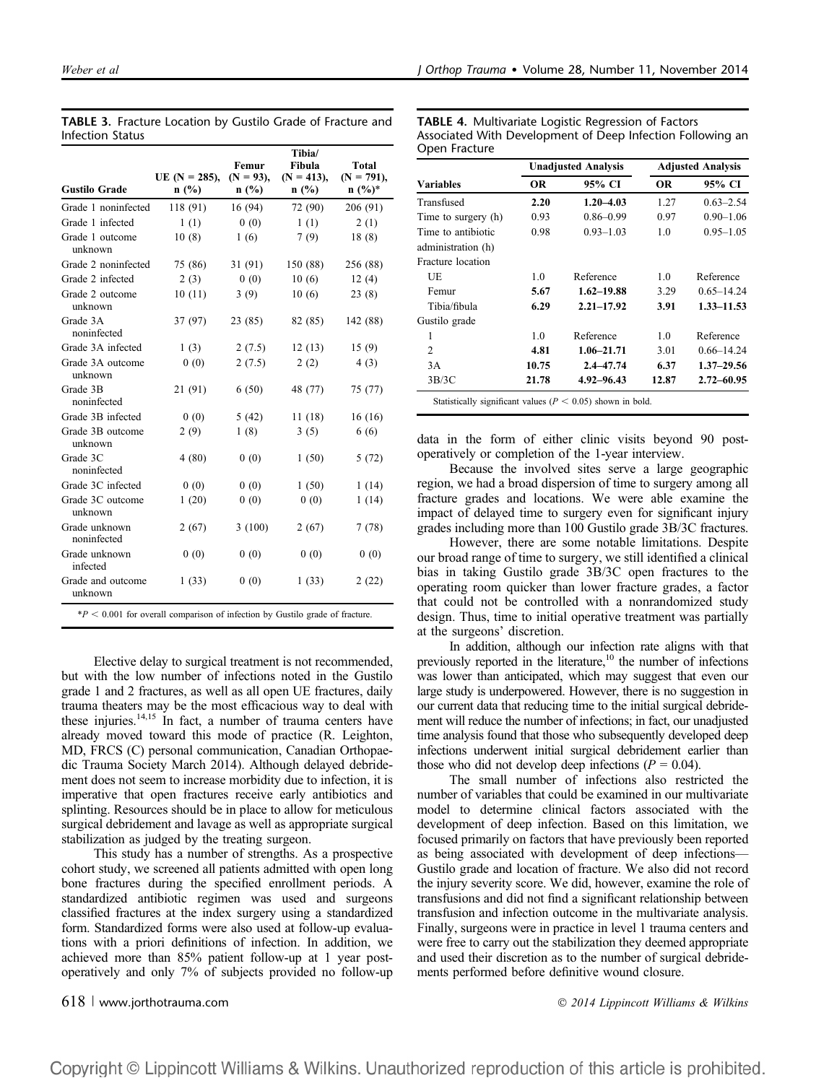|                              | UE $(N = 285)$ . | Femur<br>$(N = 93)$ . | Tibia/<br>Fibula<br>$(N = 413)$ . | Total<br>$(N = 791)$ , |
|------------------------------|------------------|-----------------------|-----------------------------------|------------------------|
| <b>Gustilo Grade</b>         | n(%)             | n(%)                  | n(%)                              | $n (%)^*$              |
| Grade 1 noninfected          | 118 (91)         | 16 (94)               | 72 (90)                           | 206 (91)               |
| Grade 1 infected             | 1(1)             | 0(0)                  | 1(1)                              | 2(1)                   |
| Grade 1 outcome<br>unknown   | 10(8)            | 1(6)                  | 7(9)                              | 18(8)                  |
| Grade 2 noninfected          | 75 (86)          | 31 (91)               | 150 (88)                          | 256 (88)               |
| Grade 2 infected             | 2(3)             | 0(0)                  | 10(6)                             | 12(4)                  |
| Grade 2 outcome<br>unknown   | 10(11)           | 3(9)                  | 10(6)                             | 23(8)                  |
| Grade 3A<br>noninfected      | 37 (97)          | 23 (85)               | 82 (85)                           | 142 (88)               |
| Grade 3A infected            | 1(3)             | 2(7.5)                | 12(13)                            | 15(9)                  |
| Grade 3A outcome<br>unknown  | 0(0)             | 2(7.5)                | 2(2)                              | 4(3)                   |
| Grade 3B<br>noninfected      | 21 (91)          | 6(50)                 | 48 (77)                           | 75 (77)                |
| Grade 3B infected            | 0(0)             | 5(42)                 | 11(18)                            | 16(16)                 |
| Grade 3B outcome<br>unknown  | 2(9)             | 1(8)                  | 3(5)                              | 6(6)                   |
| Grade 3C<br>noninfected      | 4(80)            | 0(0)                  | 1(50)                             | 5(72)                  |
| Grade 3C infected            | 0(0)             | 0(0)                  | 1(50)                             | 1(14)                  |
| Grade 3C outcome<br>unknown  | 1(20)            | 0(0)                  | 0(0)                              | 1(14)                  |
| Grade unknown<br>noninfected | 2(67)            | 3(100)                | 2(67)                             | 7(78)                  |
| Grade unknown<br>infected    | 0(0)             | 0(0)                  | 0(0)                              | 0(0)                   |
| Grade and outcome<br>unknown | 1(33)            | 0(0)                  | 1(33)                             | 2(22)                  |

TABLE 3. Fracture Location by Gustilo Grade of Fracture and Infection Status

Elective delay to surgical treatment is not recommended, but with the low number of infections noted in the Gustilo grade 1 and 2 fractures, as well as all open UE fractures, daily trauma theaters may be the most efficacious way to deal with these injuries.<sup>14,15</sup> In fact, a number of trauma centers have already moved toward this mode of practice (R. Leighton, MD, FRCS (C) personal communication, Canadian Orthopaedic Trauma Society March 2014). Although delayed debridement does not seem to increase morbidity due to infection, it is imperative that open fractures receive early antibiotics and splinting. Resources should be in place to allow for meticulous surgical debridement and lavage as well as appropriate surgical stabilization as judged by the treating surgeon.

This study has a number of strengths. As a prospective cohort study, we screened all patients admitted with open long bone fractures during the specified enrollment periods. A standardized antibiotic regimen was used and surgeons classified fractures at the index surgery using a standardized form. Standardized forms were also used at follow-up evaluations with a priori definitions of infection. In addition, we achieved more than 85% patient follow-up at 1 year postoperatively and only 7% of subjects provided no follow-up

TABLE 4. Multivariate Logistic Regression of Factors Associated With Development of Deep Infection Following an Open Fracture

| <b>Unadjusted Analysis</b> |                | <b>Adjusted Analysis</b> |                |
|----------------------------|----------------|--------------------------|----------------|
| OR.                        | 95% CI         | <b>OR</b>                | 95% CI         |
| 2.20                       | $1.20 - 4.03$  | 1.27                     | $0.63 - 2.54$  |
| 0.93                       | $0.86 - 0.99$  | 0.97                     | $0.90 - 1.06$  |
| 0.98                       | $0.93 - 1.03$  | 1.0                      | $0.95 - 1.05$  |
|                            |                |                          |                |
|                            |                |                          |                |
| 1.0                        | Reference      | 1.0                      | Reference      |
| 5.67                       | $1.62 - 19.88$ | 3.29                     | $0.65 - 14.24$ |
| 6.29                       | $2.21 - 17.92$ | 3.91                     | $1.33 - 11.53$ |
|                            |                |                          |                |
| 1.0                        | Reference      | 1.0                      | Reference      |
| 4.81                       | $1.06 - 21.71$ | 3.01                     | $0.66 - 14.24$ |
| 10.75                      | $2.4 - 47.74$  | 6.37                     | $1.37 - 29.56$ |
| 21.78                      | $4.92 - 96.43$ | 12.87                    | $2.72 - 60.95$ |
|                            |                |                          |                |

data in the form of either clinic visits beyond 90 postoperatively or completion of the 1-year interview.

Because the involved sites serve a large geographic region, we had a broad dispersion of time to surgery among all fracture grades and locations. We were able examine the impact of delayed time to surgery even for significant injury grades including more than 100 Gustilo grade 3B/3C fractures.

However, there are some notable limitations. Despite our broad range of time to surgery, we still identified a clinical bias in taking Gustilo grade 3B/3C open fractures to the operating room quicker than lower fracture grades, a factor that could not be controlled with a nonrandomized study design. Thus, time to initial operative treatment was partially at the surgeons' discretion.

In addition, although our infection rate aligns with that previously reported in the literature, $10$  the number of infections was lower than anticipated, which may suggest that even our large study is underpowered. However, there is no suggestion in our current data that reducing time to the initial surgical debridement will reduce the number of infections; in fact, our unadjusted time analysis found that those who subsequently developed deep infections underwent initial surgical debridement earlier than those who did not develop deep infections ( $P = 0.04$ ).

The small number of infections also restricted the number of variables that could be examined in our multivariate model to determine clinical factors associated with the development of deep infection. Based on this limitation, we focused primarily on factors that have previously been reported as being associated with development of deep infections— Gustilo grade and location of fracture. We also did not record the injury severity score. We did, however, examine the role of transfusions and did not find a significant relationship between transfusion and infection outcome in the multivariate analysis. Finally, surgeons were in practice in level 1 trauma centers and were free to carry out the stabilization they deemed appropriate and used their discretion as to the number of surgical debridements performed before definitive wound closure.

618 <sup>|</sup> www.jorthotrauma.com 2014 Lippincott Williams & Wilkins